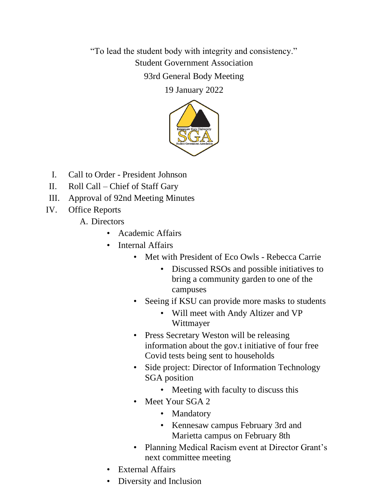"To lead the student body with integrity and consistency." Student Government Association

93rd General Body Meeting

19 January 2022



- I. Call to Order President Johnson
- II. Roll Call Chief of Staff Gary
- III. Approval of 92nd Meeting Minutes
- IV. Office Reports
	- A. Directors
		- Academic Affairs
		- Internal Affairs
			- Met with President of Eco Owls Rebecca Carrie
				- Discussed RSOs and possible initiatives to bring a community garden to one of the campuses
			- Seeing if KSU can provide more masks to students
				- Will meet with Andy Altizer and VP Wittmayer
			- Press Secretary Weston will be releasing information about the gov.t initiative of four free Covid tests being sent to households
			- Side project: Director of Information Technology SGA position
				- Meeting with faculty to discuss this
			- Meet Your SGA 2
				- Mandatory
				- Kennesaw campus February 3rd and Marietta campus on February 8th
			- Planning Medical Racism event at Director Grant's next committee meeting
		- External Affairs
		- Diversity and Inclusion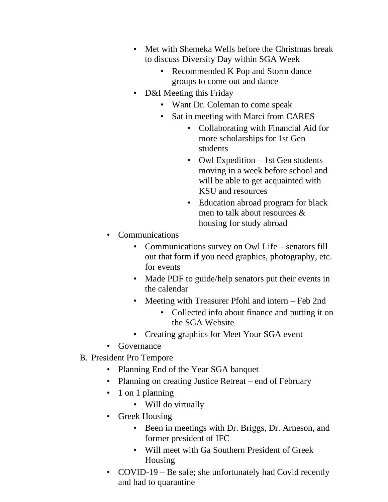- Met with Shemeka Wells before the Christmas break to discuss Diversity Day within SGA Week
	- Recommended K Pop and Storm dance groups to come out and dance
- D&I Meeting this Friday
	- Want Dr. Coleman to come speak
	- Sat in meeting with Marci from CARES
		- Collaborating with Financial Aid for more scholarships for 1st Gen students
		- Owl Expedition 1st Gen students moving in a week before school and will be able to get acquainted with KSU and resources
		- Education abroad program for black men to talk about resources & housing for study abroad
- Communications
	- Communications survey on Owl Life senators fill out that form if you need graphics, photography, etc. for events
	- Made PDF to guide/help senators put their events in the calendar
	- Meeting with Treasurer Pfohl and intern Feb 2nd
		- Collected info about finance and putting it on the SGA Website
	- Creating graphics for Meet Your SGA event
- Governance
- B. President Pro Tempore
	- Planning End of the Year SGA banquet
	- Planning on creating Justice Retreat end of February
	- 1 on 1 planning
		- Will do virtually
	- Greek Housing
		- Been in meetings with Dr. Briggs, Dr. Arneson, and former president of IFC
		- Will meet with Ga Southern President of Greek Housing
	- COVID-19 Be safe; she unfortunately had Covid recently and had to quarantine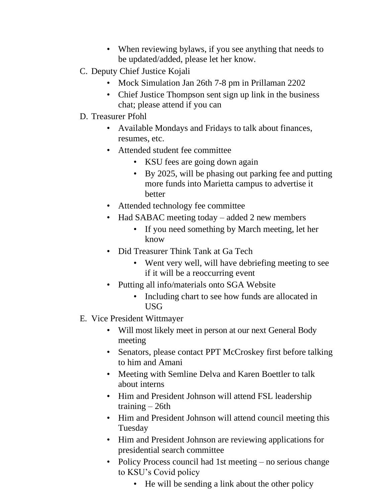- When reviewing bylaws, if you see anything that needs to be updated/added, please let her know.
- C. Deputy Chief Justice Kojali
	- Mock Simulation Jan 26th 7-8 pm in Prillaman 2202
	- Chief Justice Thompson sent sign up link in the business chat; please attend if you can
- D. Treasurer Pfohl
	- Available Mondays and Fridays to talk about finances, resumes, etc.
	- Attended student fee committee
		- KSU fees are going down again
		- By 2025, will be phasing out parking fee and putting more funds into Marietta campus to advertise it better
	- Attended technology fee committee
	- Had SABAC meeting today added 2 new members
		- If you need something by March meeting, let her know
	- Did Treasurer Think Tank at Ga Tech
		- Went very well, will have debriefing meeting to see if it will be a reoccurring event
	- Putting all info/materials onto SGA Website
		- Including chart to see how funds are allocated in USG
- E. Vice President Wittmayer
	- Will most likely meet in person at our next General Body meeting
	- Senators, please contact PPT McCroskey first before talking to him and Amani
	- Meeting with Semline Delva and Karen Boettler to talk about interns
	- Him and President Johnson will attend FSL leadership training – 26th
	- Him and President Johnson will attend council meeting this Tuesday
	- Him and President Johnson are reviewing applications for presidential search committee
	- Policy Process council had 1st meeting no serious change to KSU's Covid policy
		- He will be sending a link about the other policy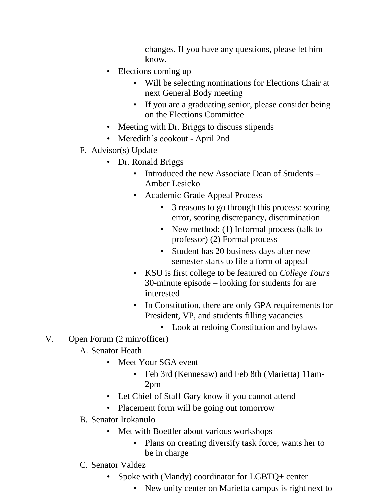changes. If you have any questions, please let him know.

- Elections coming up
	- Will be selecting nominations for Elections Chair at next General Body meeting
	- If you are a graduating senior, please consider being on the Elections Committee
- Meeting with Dr. Briggs to discuss stipends
- Meredith's cookout April 2nd
- F. Advisor(s) Update
	- Dr. Ronald Briggs
		- Introduced the new Associate Dean of Students Amber Lesicko
		- Academic Grade Appeal Process
			- 3 reasons to go through this process: scoring error, scoring discrepancy, discrimination
			- New method: (1) Informal process (talk to professor) (2) Formal process
			- Student has 20 business days after new semester starts to file a form of appeal
		- KSU is first college to be featured on *College Tours* 30-minute episode – looking for students for are interested
		- In Constitution, there are only GPA requirements for President, VP, and students filling vacancies
			- Look at redoing Constitution and bylaws
- V. Open Forum (2 min/officer)
	- A. Senator Heath
		- Meet Your SGA event
			- Feb 3rd (Kennesaw) and Feb 8th (Marietta) 11am-2pm
		- Let Chief of Staff Gary know if you cannot attend
		- Placement form will be going out tomorrow
	- B. Senator Irokanulo
		- Met with Boettler about various workshops
			- Plans on creating diversify task force; wants her to be in charge
	- C. Senator Valdez
		- Spoke with (Mandy) coordinator for LGBTQ+ center
			- New unity center on Marietta campus is right next to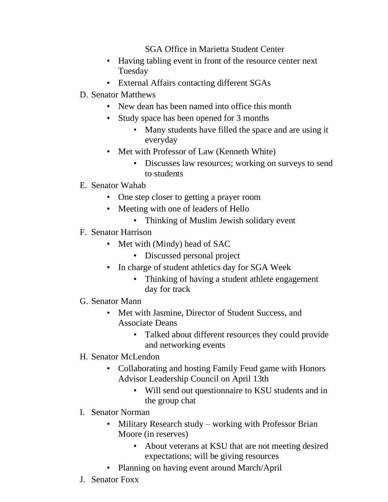SGA Office in Marietta Student Center

- Having tabling event in front of the resource center next Tuesday
- External Affairs contacting different SGAs
- D. Senator Matthews
	- New dean has been named into office this month
	- Study space has been opened for 3 months
		- Many students have filled the space and are using it everyday
	- Met with Professor of Law (Kenneth White)
		- Discusses law resources; working on surveys to send to students
- E. Senator Wahab
	- One step closer to getting a prayer room
	- Meeting with one of leaders of Hello
		- Thinking of Muslim Jewish solidary event
- F. Senator Harrison
	- Met with (Mindy) head of SAC
		- Discussed personal project
	- In charge of student athletics day for SGA Week
		- Thinking of having a student athlete engagement day for track
- G. Senator Mann
	- Met with Jasmine, Director of Student Success, and Associate Deans
		- Talked about different resources they could provide and networking events
- H. Senator McLendon
	- Collaborating and hosting Family Feud game with Honors Advisor Leadership Council on April 13th
		- Will send out questionnaire to KSU students and in the group chat
- I. Senator Norman
	- Military Research study working with Professor Brian Moore (in reserves)
		- About veterans at KSU that are not meeting desired expectations; will be giving resources
	- Planning on having event around March/April
- J. Senator Foxx